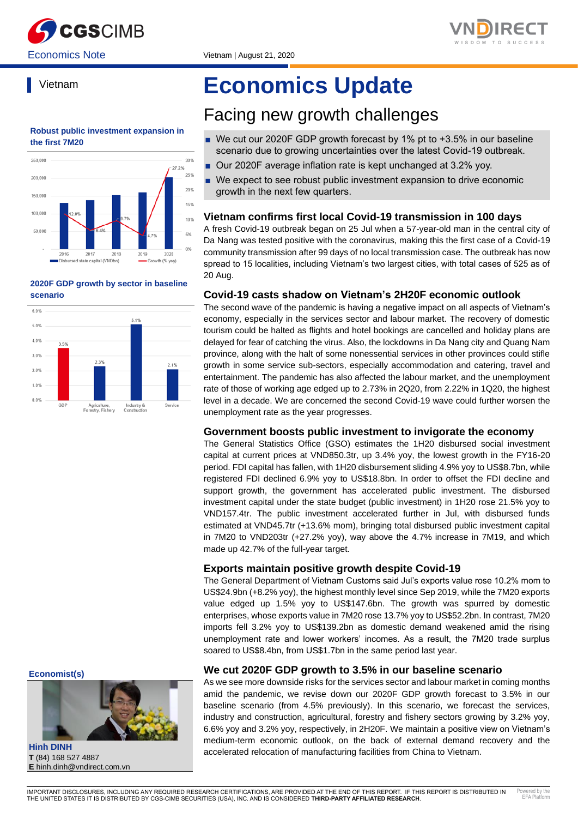



# Vietnam

#### **Robust public investment expansion in the first 7M20**



#### **2020F GDP growth by sector in baseline scenario**



# **Economics Update**

# Facing new growth challenges

- We cut our 2020F GDP growth forecast by 1% pt to +3.5% in our baseline scenario due to growing uncertainties over the latest Covid-19 outbreak.
- Our 2020F average inflation rate is kept unchanged at 3.2% yoy.
- We expect to see robust public investment expansion to drive economic growth in the next few quarters.

# **Vietnam confirms first local Covid-19 transmission in 100 days**

A fresh Covid-19 outbreak began on 25 Jul when a 57-year-old man in the central city of Da Nang was tested positive with the coronavirus, making this the first case of a Covid-19 community transmission after 99 days of no local transmission case. The outbreak has now spread to 15 localities, including Vietnam's two largest cities, with total cases of 525 as of 20 Aug.

# **Covid-19 casts shadow on Vietnam's 2H20F economic outlook**

The second wave of the pandemic is having a negative impact on all aspects of Vietnam's economy, especially in the services sector and labour market. The recovery of domestic tourism could be halted as flights and hotel bookings are cancelled and holiday plans are delayed for fear of catching the virus. Also, the lockdowns in Da Nang city and Quang Nam province, along with the halt of some nonessential services in other provinces could stifle growth in some service sub-sectors, especially accommodation and catering, travel and entertainment. The pandemic has also affected the labour market, and the unemployment rate of those of working age edged up to 2.73% in 2Q20, from 2.22% in 1Q20, the highest level in a decade. We are concerned the second Covid-19 wave could further worsen the unemployment rate as the year progresses.

#### **Government boosts public investment to invigorate the economy**

The General Statistics Office (GSO) estimates the 1H20 disbursed social investment capital at current prices at VND850.3tr, up 3.4% yoy, the lowest growth in the FY16-20 period. FDI capital has fallen, with 1H20 disbursement sliding 4.9% yoy to US\$8.7bn, while registered FDI declined 6.9% yoy to US\$18.8bn. In order to offset the FDI decline and support growth, the government has accelerated public investment. The disbursed investment capital under the state budget (public investment) in 1H20 rose 21.5% yoy to VND157.4tr. The public investment accelerated further in Jul, with disbursed funds estimated at VND45.7tr (+13.6% mom), bringing total disbursed public investment capital in 7M20 to VND203tr (+27.2% yoy), way above the 4.7% increase in 7M19, and which made up 42.7% of the full-year target.

# **Exports maintain positive growth despite Covid-19**

The General Department of Vietnam Customs said Jul's exports value rose 10.2% mom to US\$24.9bn (+8.2% yoy), the highest monthly level since Sep 2019, while the 7M20 exports value edged up 1.5% yoy to US\$147.6bn. The growth was spurred by domestic enterprises, whose exports value in 7M20 rose 13.7% yoy to US\$52.2bn. In contrast, 7M20 imports fell 3.2% yoy to US\$139.2bn as domestic demand weakened amid the rising unemployment rate and lower workers' incomes. As a result, the 7M20 trade surplus soared to US\$8.4bn, from US\$1.7bn in the same period last year.

#### **We cut 2020F GDP growth to 3.5% in our baseline scenario**

As we see more downside risks for the services sector and labour market in coming months amid the pandemic, we revise down our 2020F GDP growth forecast to 3.5% in our baseline scenario (from 4.5% previously). In this scenario, we forecast the services, industry and construction, agricultural, forestry and fishery sectors growing by 3.2% yoy, 6.6% yoy and 3.2% yoy, respectively, in 2H20F. We maintain a positive view on Vietnam's medium-term economic outlook, on the back of external demand recovery and the accelerated relocation of manufacturing facilities from China to Vietnam.

**Economist(s)**



**Hinh DINH T** (84) 168 527 4887 **E** hinh.dinh@vndirect.com.vn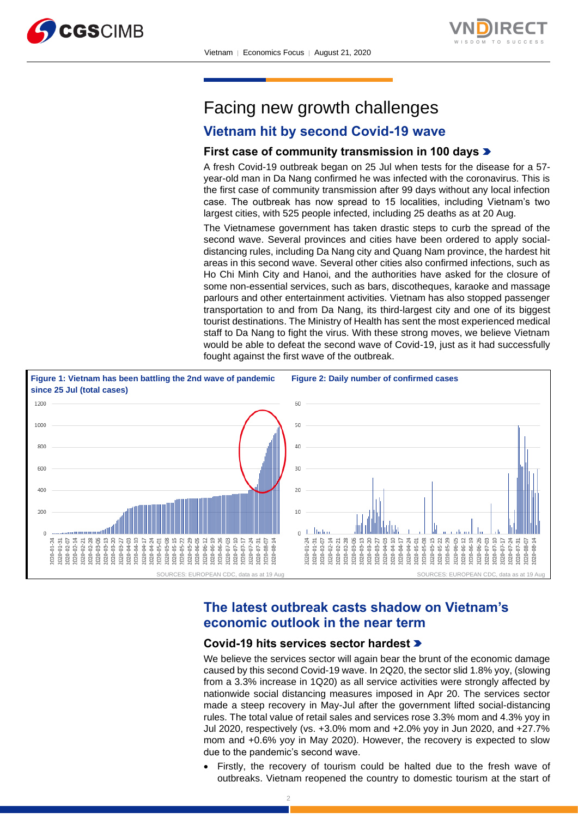



# Facing new growth challenges

# **Vietnam hit by second Covid-19 wave**

# **First case of community transmission in 100 days**

A fresh Covid-19 outbreak began on 25 Jul when tests for the disease for a 57 year-old man in Da Nang confirmed he was infected with the coronavirus. This is the first case of community transmission after 99 days without any local infection case. The outbreak has now spread to 15 localities, including Vietnam's two largest cities, with 525 people infected, including 25 deaths as at 20 Aug.

The Vietnamese government has taken drastic steps to curb the spread of the second wave. Several provinces and cities have been ordered to apply socialdistancing rules, including Da Nang city and Quang Nam province, the hardest hit areas in this second wave. Several other cities also confirmed infections, such as Ho Chi Minh City and Hanoi, and the authorities have asked for the closure of some non-essential services, such as bars, discotheques, karaoke and massage parlours and other entertainment activities. Vietnam has also stopped passenger transportation to and from Da Nang, its third-largest city and one of its biggest tourist destinations. The Ministry of Health has sent the most experienced medical staff to Da Nang to fight the virus. With these strong moves, we believe Vietnam would be able to defeat the second wave of Covid-19, just as it had successfully fought against the first wave of the outbreak.



# **The latest outbreak casts shadow on Vietnam's economic outlook in the near term**

### **Covid-19 hits services sector hardest**

We believe the services sector will again bear the brunt of the economic damage caused by this second Covid-19 wave. In 2Q20, the sector slid 1.8% yoy, (slowing from a 3.3% increase in 1Q20) as all service activities were strongly affected by nationwide social distancing measures imposed in Apr 20. The services sector made a steep recovery in May-Jul after the government lifted social-distancing rules. The total value of retail sales and services rose 3.3% mom and 4.3% yoy in Jul 2020, respectively (vs. +3.0% mom and +2.0% yoy in Jun 2020, and +27.7% mom and +0.6% yoy in May 2020). However, the recovery is expected to slow due to the pandemic's second wave.

Firstly, the recovery of tourism could be halted due to the fresh wave of outbreaks. Vietnam reopened the country to domestic tourism at the start of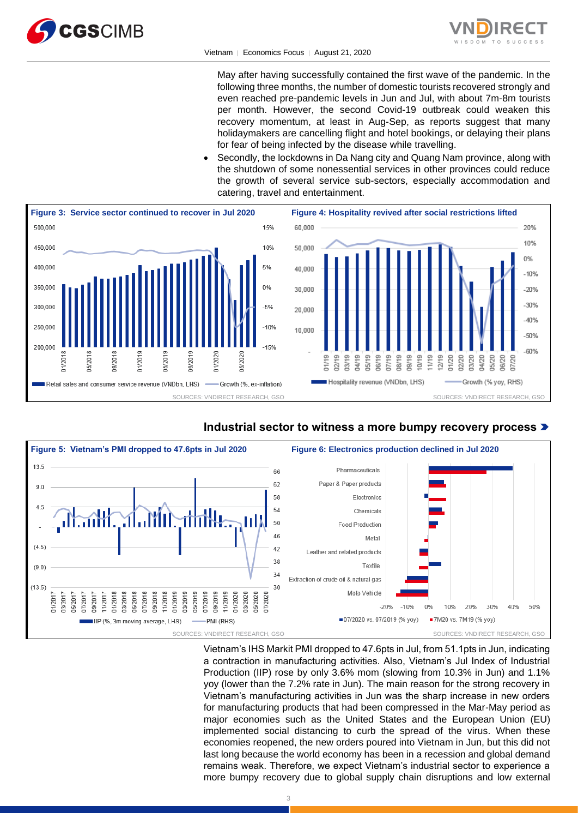



#### Vietnam │ Economics Focus │ August 21, 2020

May after having successfully contained the first wave of the pandemic. In the following three months, the number of domestic tourists recovered strongly and even reached pre-pandemic levels in Jun and Jul, with about 7m-8m tourists per month. However, the second Covid-19 outbreak could weaken this recovery momentum, at least in Aug-Sep, as reports suggest that many holidaymakers are cancelling flight and hotel bookings, or delaying their plans for fear of being infected by the disease while travelling.

• Secondly, the lockdowns in Da Nang city and Quang Nam province, along with the shutdown of some nonessential services in other provinces could reduce the growth of several service sub-sectors, especially accommodation and catering, travel and entertainment.







Vietnam's IHS Markit PMI dropped to 47.6pts in Jul, from 51.1pts in Jun, indicating a contraction in manufacturing activities. Also, Vietnam's Jul Index of Industrial Production (IIP) rose by only 3.6% mom (slowing from 10.3% in Jun) and 1.1% yoy (lower than the 7.2% rate in Jun). The main reason for the strong recovery in Vietnam's manufacturing activities in Jun was the sharp increase in new orders for manufacturing products that had been compressed in the Mar-May period as major economies such as the United States and the European Union (EU) implemented social distancing to curb the spread of the virus. When these economies reopened, the new orders poured into Vietnam in Jun, but this did not last long because the world economy has been in a recession and global demand remains weak. Therefore, we expect Vietnam's industrial sector to experience a more bumpy recovery due to global supply chain disruptions and low external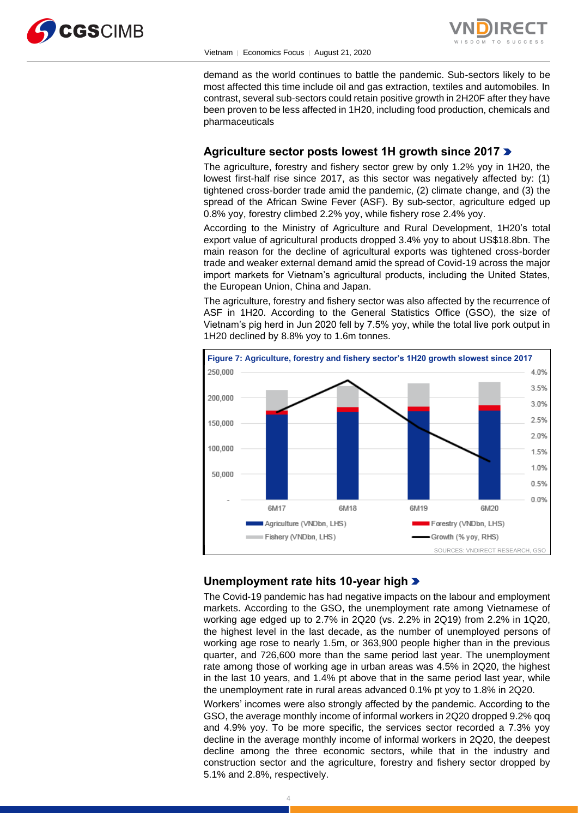



demand as the world continues to battle the pandemic. Sub-sectors likely to be most affected this time include oil and gas extraction, textiles and automobiles. In contrast, several sub-sectors could retain positive growth in 2H20F after they have been proven to be less affected in 1H20, including food production, chemicals and pharmaceuticals

# **Agriculture sector posts lowest 1H growth since 2017**

The agriculture, forestry and fishery sector grew by only 1.2% yoy in 1H20, the lowest first-half rise since 2017, as this sector was negatively affected by: (1) tightened cross-border trade amid the pandemic, (2) climate change, and (3) the spread of the African Swine Fever (ASF). By sub-sector, agriculture edged up 0.8% yoy, forestry climbed 2.2% yoy, while fishery rose 2.4% yoy.

According to the Ministry of Agriculture and Rural Development, 1H20's total export value of agricultural products dropped 3.4% yoy to about US\$18.8bn. The main reason for the decline of agricultural exports was tightened cross-border trade and weaker external demand amid the spread of Covid-19 across the major import markets for Vietnam's agricultural products, including the United States, the European Union, China and Japan.

The agriculture, forestry and fishery sector was also affected by the recurrence of ASF in 1H20. According to the General Statistics Office (GSO), the size of Vietnam's pig herd in Jun 2020 fell by 7.5% yoy, while the total live pork output in 1H20 declined by 8.8% yoy to 1.6m tonnes.



# **Unemployment rate hits 10-year high**

The Covid-19 pandemic has had negative impacts on the labour and employment markets. According to the GSO, the unemployment rate among Vietnamese of working age edged up to 2.7% in 2Q20 (vs. 2.2% in 2Q19) from 2.2% in 1Q20, the highest level in the last decade, as the number of unemployed persons of working age rose to nearly 1.5m, or 363,900 people higher than in the previous quarter, and 726,600 more than the same period last year. The unemployment rate among those of working age in urban areas was 4.5% in 2Q20, the highest in the last 10 years, and 1.4% pt above that in the same period last year, while the unemployment rate in rural areas advanced 0.1% pt yoy to 1.8% in 2Q20.

Workers' incomes were also strongly affected by the pandemic. According to the GSO, the average monthly income of informal workers in 2Q20 dropped 9.2% qoq and 4.9% yoy. To be more specific, the services sector recorded a 7.3% yoy decline in the average monthly income of informal workers in 2Q20, the deepest decline among the three economic sectors, while that in the industry and construction sector and the agriculture, forestry and fishery sector dropped by 5.1% and 2.8%, respectively.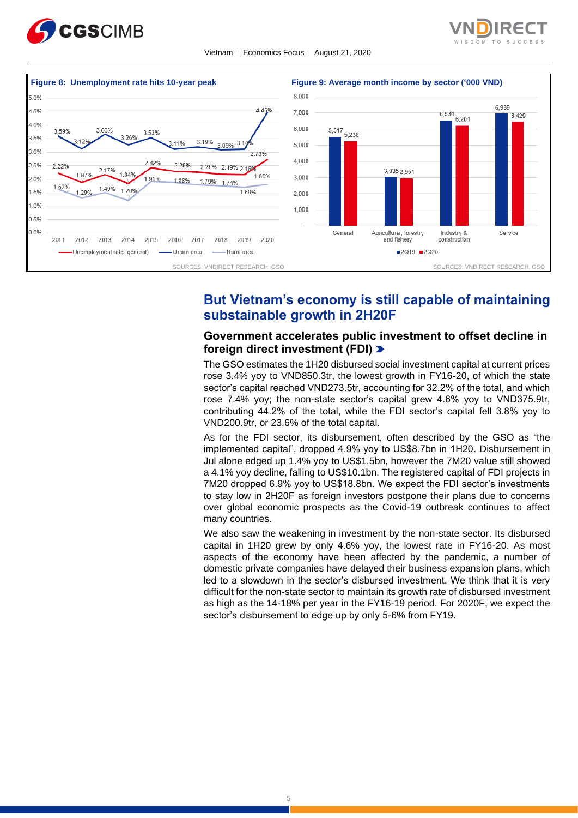



Vietnam │ Economics Focus │ August 21, 2020



# **But Vietnam's economy is still capable of maintaining substainable growth in 2H20F**

# **Government accelerates public investment to offset decline in foreign direct investment (FDI)**

The GSO estimates the 1H20 disbursed social investment capital at current prices rose 3.4% yoy to VND850.3tr, the lowest growth in FY16-20, of which the state sector's capital reached VND273.5tr, accounting for 32.2% of the total, and which rose 7.4% yoy; the non-state sector's capital grew 4.6% yoy to VND375.9tr, contributing 44.2% of the total, while the FDI sector's capital fell 3.8% yoy to VND200.9tr, or 23.6% of the total capital.

As for the FDI sector, its disbursement, often described by the GSO as "the implemented capital", dropped 4.9% yoy to US\$8.7bn in 1H20. Disbursement in Jul alone edged up 1.4% yoy to US\$1.5bn, however the 7M20 value still showed a 4.1% yoy decline, falling to US\$10.1bn. The registered capital of FDI projects in 7M20 dropped 6.9% yoy to US\$18.8bn. We expect the FDI sector's investments to stay low in 2H20F as foreign investors postpone their plans due to concerns over global economic prospects as the Covid-19 outbreak continues to affect many countries.

We also saw the weakening in investment by the non-state sector. Its disbursed capital in 1H20 grew by only 4.6% yoy, the lowest rate in FY16-20. As most aspects of the economy have been affected by the pandemic, a number of domestic private companies have delayed their business expansion plans, which led to a slowdown in the sector's disbursed investment. We think that it is very difficult for the non-state sector to maintain its growth rate of disbursed investment as high as the 14-18% per year in the FY16-19 period. For 2020F, we expect the sector's disbursement to edge up by only 5-6% from FY19.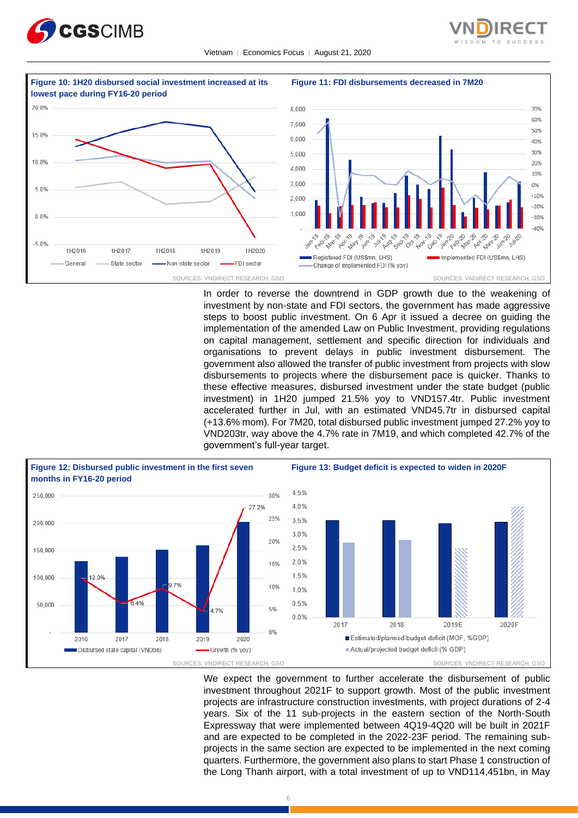





In order to reverse the downtrend in GDP growth due to the weakening of investment by non-state and FDI sectors, the government has made aggressive steps to boost public investment. On 6 Apr it issued a decree on guiding the implementation of the amended Law on Public Investment, providing regulations on capital management, settlement and specific direction for individuals and organisations to prevent delays in public investment disbursement. The government also allowed the transfer of public investment from projects with slow disbursements to projects where the disbursement pace is quicker. Thanks to these effective measures, disbursed investment under the state budget (public investment) in 1H20 jumped 21.5% yoy to VND157.4tr. Public investment accelerated further in Jul, with an estimated VND45.7tr in disbursed capital (+13.6% mom). For 7M20, total disbursed public investment jumped 27.2% yoy to VND203tr, way above the 4.7% rate in 7M19, and which completed 42.7% of the government's full-year target.



We expect the government to further accelerate the disbursement of public investment throughout 2021F to support growth. Most of the public investment projects are infrastructure construction investments, with project durations of 2-4 years. Six of the 11 sub-projects in the eastern section of the North-South Expressway that were implemented between 4Q19-4Q20 will be built in 2021F and are expected to be completed in the 2022-23F period. The remaining subprojects in the same section are expected to be implemented in the next coming quarters. Furthermore, the government also plans to start Phase 1 construction of the Long Thanh airport, with a total investment of up to VND114,451bn, in May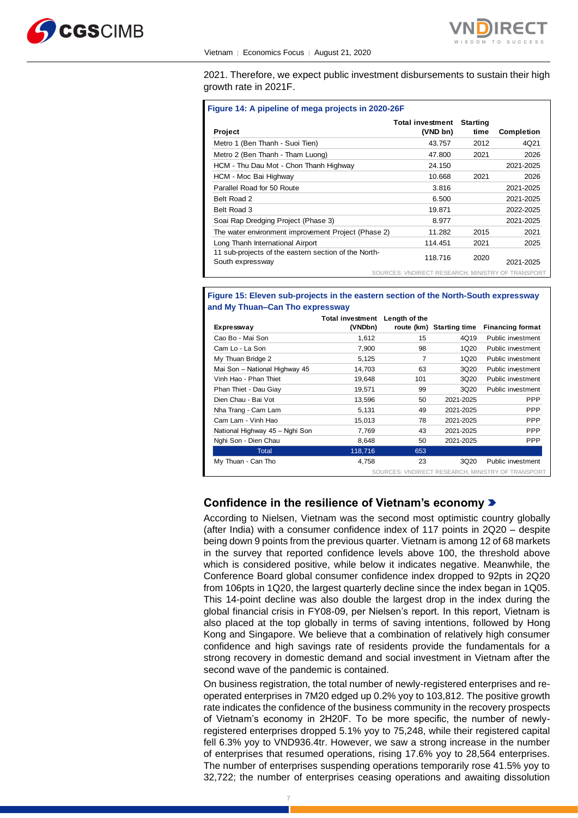



2021. Therefore, we expect public investment disbursements to sustain their high growth rate in 2021F.

| <b>Project</b>                                                           | <b>Total investment</b><br>(VND bn)               | <b>Starting</b><br>time | <b>Completion</b> |
|--------------------------------------------------------------------------|---------------------------------------------------|-------------------------|-------------------|
| Metro 1 (Ben Thanh - Suoi Tien)                                          | 43.757                                            | 2012                    | 4Q21              |
| Metro 2 (Ben Thanh - Tham Luong)                                         | 47.800                                            | 2021                    | 2026              |
| HCM - Thu Dau Mot - Chon Thanh Highway                                   | 24.150                                            |                         | 2021-2025         |
| HCM - Moc Bai Highway                                                    | 10.668                                            | 2021                    | 2026              |
| Parallel Road for 50 Route                                               | 3.816                                             |                         | 2021-2025         |
| Belt Road 2                                                              | 6.500                                             |                         | 2021-2025         |
| Belt Road 3                                                              | 19.871                                            |                         | 2022-2025         |
| Soai Rap Dredging Project (Phase 3)                                      | 8.977                                             |                         | 2021-2025         |
| The water environment improvement Project (Phase 2)                      | 11.282                                            | 2015                    | 2021              |
| Long Thanh International Airport                                         | 114.451                                           | 2021                    | 2025              |
| 11 sub-projects of the eastern section of the North-<br>South expressway | 118.716                                           | 2020                    | 2021-2025         |
|                                                                          | SOURCES: VNDIRECT RESEARCH, MINISTRY OF TRANSPORT |                         |                   |

#### **Figure 15: Eleven sub-projects in the eastern section of the North-South expressway and My Thuan–Can Tho expressway**

|                                | Total investment | Length of the |                          |                                                   |
|--------------------------------|------------------|---------------|--------------------------|---------------------------------------------------|
| Expressway                     | (VNDbn)          |               | route (km) Starting time | <b>Financing format</b>                           |
| Cao Bo - Mai Son               | 1,612            | 15            | 4Q19                     | Public investment                                 |
| Cam Lo - La Son                | 7,900            | 98            | 1Q20                     | Public investment                                 |
| My Thuan Bridge 2              | 5,125            | 7             | 1Q20                     | Public investment                                 |
| Mai Son - National Highway 45  | 14,703           | 63            | 3Q20                     | Public investment                                 |
| Vinh Hao - Phan Thiet          | 19,648           | 101           | 3Q20                     | Public investment                                 |
| Phan Thiet - Dau Giay          | 19,571           | 99            | 3Q20                     | Public investment                                 |
| Dien Chau - Bai Vot            | 13,596           | 50            | 2021-2025                | <b>PPP</b>                                        |
| Nha Trang - Cam Lam            | 5,131            | 49            | 2021-2025                | <b>PPP</b>                                        |
| Cam Lam - Vinh Hao             | 15,013           | 78            | 2021-2025                | <b>PPP</b>                                        |
| National Highway 45 - Nghi Son | 7,769            | 43            | 2021-2025                | <b>PPP</b>                                        |
| Nghi Son - Dien Chau           | 8,648            | 50            | 2021-2025                | <b>PPP</b>                                        |
| Total                          | 118,716          | 653           |                          |                                                   |
| My Thuan - Can Tho             | 4.758            | 23            | 3Q20                     | Public investment                                 |
|                                |                  |               |                          | SOURCES: VNDIRECT RESEARCH, MINISTRY OF TRANSPORT |

# **Confidence in the resilience of Vietnam's economy**

According to Nielsen, Vietnam was the second most optimistic country globally (after India) with a consumer confidence index of 117 points in 2Q20 – despite being down 9 points from the previous quarter. Vietnam is among 12 of 68 markets in the survey that reported confidence levels above 100, the threshold above which is considered positive, while below it indicates negative. Meanwhile, the Conference Board global consumer confidence index dropped to 92pts in 2Q20 from 106pts in 1Q20, the largest quarterly decline since the index began in 1Q05. This 14-point decline was also double the largest drop in the index during the global financial crisis in FY08-09, per Nielsen's report. In this report, Vietnam is also placed at the top globally in terms of saving intentions, followed by Hong Kong and Singapore. We believe that a combination of relatively high consumer confidence and high savings rate of residents provide the fundamentals for a strong recovery in domestic demand and social investment in Vietnam after the second wave of the pandemic is contained.

On business registration, the total number of newly-registered enterprises and reoperated enterprises in 7M20 edged up 0.2% yoy to 103,812. The positive growth rate indicates the confidence of the business community in the recovery prospects of Vietnam's economy in 2H20F. To be more specific, the number of newlyregistered enterprises dropped 5.1% yoy to 75,248, while their registered capital fell 6.3% yoy to VND936.4tr. However, we saw a strong increase in the number of enterprises that resumed operations, rising 17.6% yoy to 28,564 enterprises. The number of enterprises suspending operations temporarily rose 41.5% yoy to 32,722; the number of enterprises ceasing operations and awaiting dissolution

7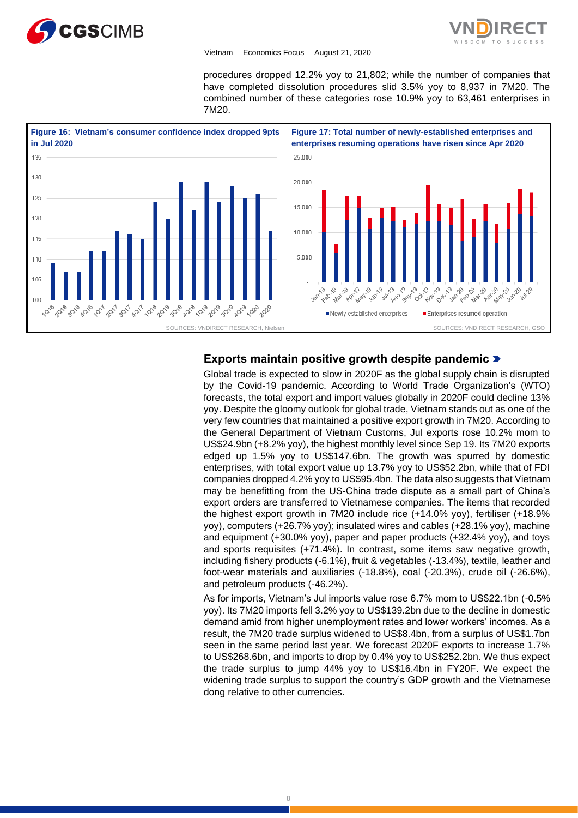



Vietnam │ Economics Focus │ August 21, 2020

procedures dropped 12.2% yoy to 21,802; while the number of companies that have completed dissolution procedures slid 3.5% yoy to 8,937 in 7M20. The combined number of these categories rose 10.9% yoy to 63,461 enterprises in 7M20.



# **Exports maintain positive growth despite pandemic**

Global trade is expected to slow in 2020F as the global supply chain is disrupted by the Covid-19 pandemic. According to World Trade Organization's (WTO) forecasts, the total export and import values globally in 2020F could decline 13% yoy. Despite the gloomy outlook for global trade, Vietnam stands out as one of the very few countries that maintained a positive export growth in 7M20. According to the General Department of Vietnam Customs, Jul exports rose 10.2% mom to US\$24.9bn (+8.2% yoy), the highest monthly level since Sep 19. Its 7M20 exports edged up 1.5% yoy to US\$147.6bn. The growth was spurred by domestic enterprises, with total export value up 13.7% yoy to US\$52.2bn, while that of FDI companies dropped 4.2% yoy to US\$95.4bn. The data also suggests that Vietnam may be benefitting from the US-China trade dispute as a small part of China's export orders are transferred to Vietnamese companies. The items that recorded the highest export growth in 7M20 include rice (+14.0% yoy), fertiliser (+18.9% yoy), computers (+26.7% yoy); insulated wires and cables (+28.1% yoy), machine and equipment (+30.0% yoy), paper and paper products (+32.4% yoy), and toys and sports requisites (+71.4%). In contrast, some items saw negative growth, including fishery products (-6.1%), fruit & vegetables (-13.4%), textile, leather and foot-wear materials and auxiliaries (-18.8%), coal (-20.3%), crude oil (-26.6%), and petroleum products (-46.2%).

As for imports, Vietnam's Jul imports value rose 6.7% mom to US\$22.1bn (-0.5% yoy). Its 7M20 imports fell 3.2% yoy to US\$139.2bn due to the decline in domestic demand amid from higher unemployment rates and lower workers' incomes. As a result, the 7M20 trade surplus widened to US\$8.4bn, from a surplus of US\$1.7bn seen in the same period last year. We forecast 2020F exports to increase 1.7% to US\$268.6bn, and imports to drop by 0.4% yoy to US\$252.2bn. We thus expect the trade surplus to jump 44% yoy to US\$16.4bn in FY20F. We expect the widening trade surplus to support the country's GDP growth and the Vietnamese dong relative to other currencies.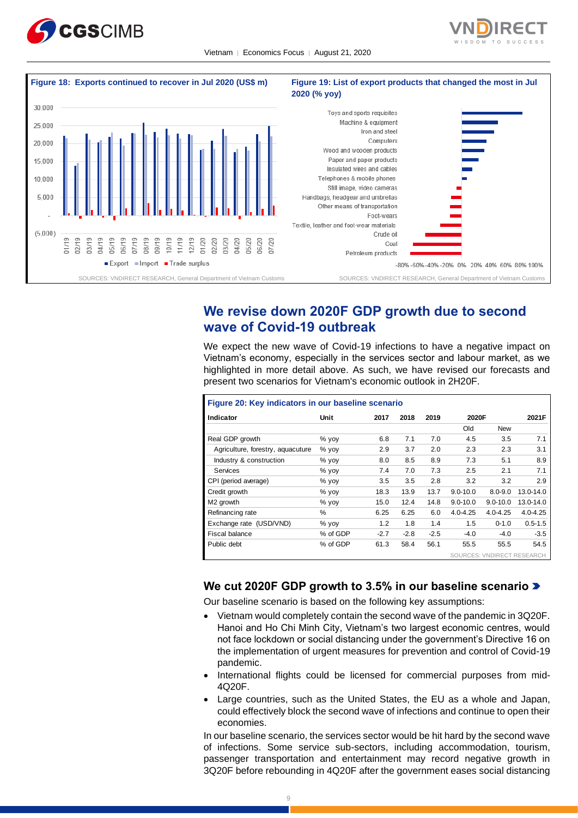





# **We revise down 2020F GDP growth due to second wave of Covid-19 outbreak**

We expect the new wave of Covid-19 infections to have a negative impact on Vietnam's economy, especially in the services sector and labour market, as we highlighted in more detail above. As such, we have revised our forecasts and present two scenarios for Vietnam's economic outlook in 2H20F.

| Figure 20: Key indicators in our baseline scenario |          |        |        |        |              |                            |              |
|----------------------------------------------------|----------|--------|--------|--------|--------------|----------------------------|--------------|
| Indicator                                          | Unit     | 2017   | 2018   | 2019   | 2020F        |                            | 2021F        |
|                                                    |          |        |        |        | Old          | <b>New</b>                 |              |
| Real GDP growth                                    | $%$ yoy  | 6.8    | 7.1    | 7.0    | 4.5          | 3.5                        | 7.1          |
| Agriculture, forestry, aguacuture                  | $%$ yoy  | 2.9    | 3.7    | 2.0    | 2.3          | 2.3                        | 3.1          |
| Industry & construction                            | % yoy    | 8.0    | 8.5    | 8.9    | 7.3          | 5.1                        | 8.9          |
| Services                                           | % vov    | 7.4    | 7.0    | 7.3    | 2.5          | 2.1                        | 7.1          |
| CPI (period average)                               | $%$ yoy  | 3.5    | 3.5    | 2.8    | 3.2          | 3.2                        | 2.9          |
| Credit growth                                      | $%$ yoy  | 18.3   | 13.9   | 13.7   | $9.0 - 10.0$ | $8.0 - 9.0$                | 13.0-14.0    |
| M <sub>2</sub> arowth                              | $%$ yoy  | 15.0   | 12.4   | 14.8   | $9.0 - 10.0$ | $9.0 - 10.0$               | 13.0-14.0    |
| Refinancing rate                                   | $\%$     | 6.25   | 6.25   | 6.0    | $4.0 - 4.25$ | $4.0 - 4.25$               | $4.0 - 4.25$ |
| Exchange rate (USD/VND)                            | % yoy    | 1.2    | 1.8    | 1.4    | 1.5          | $0 - 1.0$                  | $0.5 - 1.5$  |
| Fiscal balance                                     | % of GDP | $-2.7$ | $-2.8$ | $-2.5$ | $-4.0$       | $-4.0$                     | $-3.5$       |
| Public debt                                        | % of GDP | 61.3   | 58.4   | 56.1   | 55.5         | 55.5                       | 54.5         |
|                                                    |          |        |        |        |              | SOURCES: VNDIRECT RESEARCH |              |

# **We cut 2020F GDP growth to 3.5% in our baseline scenario**

Our baseline scenario is based on the following key assumptions:

- Vietnam would completely contain the second wave of the pandemic in 3Q20F. Hanoi and Ho Chi Minh City, Vietnam's two largest economic centres, would not face lockdown or social distancing under the government's Directive 16 on the implementation of urgent measures for prevention and control of Covid-19 pandemic.
- International flights could be licensed for commercial purposes from mid-4Q20F.
- Large countries, such as the United States, the EU as a whole and Japan, could effectively block the second wave of infections and continue to open their economies.

In our baseline scenario, the services sector would be hit hard by the second wave of infections. Some service sub-sectors, including accommodation, tourism, passenger transportation and entertainment may record negative growth in 3Q20F before rebounding in 4Q20F after the government eases social distancing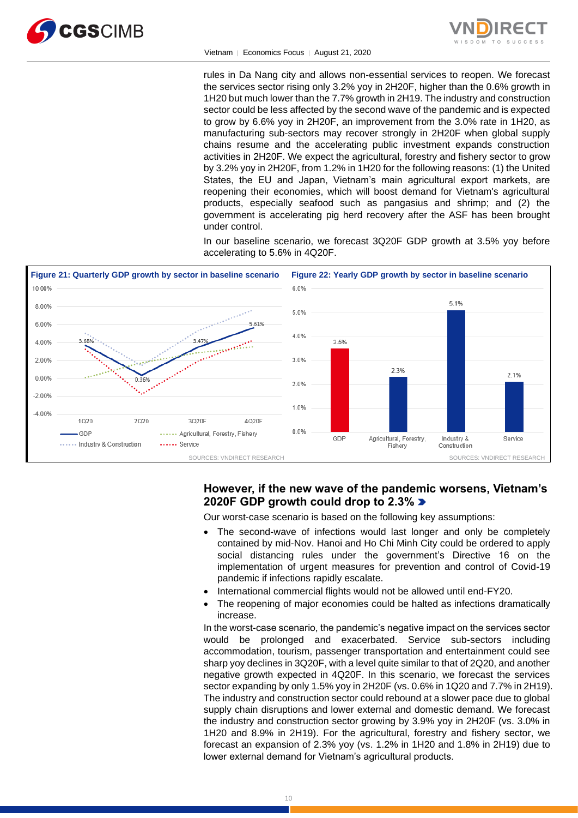

Vietnam │ Economics Focus │ August 21, 2020

rules in Da Nang city and allows non-essential services to reopen. We forecast the services sector rising only 3.2% yoy in 2H20F, higher than the 0.6% growth in 1H20 but much lower than the 7.7% growth in 2H19. The industry and construction sector could be less affected by the second wave of the pandemic and is expected to grow by 6.6% yoy in 2H20F, an improvement from the 3.0% rate in 1H20, as manufacturing sub-sectors may recover strongly in 2H20F when global supply chains resume and the accelerating public investment expands construction activities in 2H20F. We expect the agricultural, forestry and fishery sector to grow by 3.2% yoy in 2H20F, from 1.2% in 1H20 for the following reasons: (1) the United States, the EU and Japan, Vietnam's main agricultural export markets, are reopening their economies, which will boost demand for Vietnam's agricultural products, especially seafood such as pangasius and shrimp; and (2) the government is accelerating pig herd recovery after the ASF has been brought under control.

In our baseline scenario, we forecast 3Q20F GDP growth at 3.5% yoy before accelerating to 5.6% in 4Q20F.



# **However, if the new wave of the pandemic worsens, Vietnam's 2020F GDP growth could drop to 2.3%**

Our worst-case scenario is based on the following key assumptions:

- The second-wave of infections would last longer and only be completely contained by mid-Nov. Hanoi and Ho Chi Minh City could be ordered to apply social distancing rules under the government's Directive 16 on the implementation of urgent measures for prevention and control of Covid-19 pandemic if infections rapidly escalate.
- International commercial flights would not be allowed until end-FY20.
- The reopening of major economies could be halted as infections dramatically increase.

In the worst-case scenario, the pandemic's negative impact on the services sector would be prolonged and exacerbated. Service sub-sectors including accommodation, tourism, passenger transportation and entertainment could see sharp yoy declines in 3Q20F, with a level quite similar to that of 2Q20, and another negative growth expected in 4Q20F. In this scenario, we forecast the services sector expanding by only 1.5% yoy in 2H20F (vs. 0.6% in 1Q20 and 7.7% in 2H19). The industry and construction sector could rebound at a slower pace due to global supply chain disruptions and lower external and domestic demand. We forecast the industry and construction sector growing by 3.9% yoy in 2H20F (vs. 3.0% in 1H20 and 8.9% in 2H19). For the agricultural, forestry and fishery sector, we forecast an expansion of 2.3% yoy (vs. 1.2% in 1H20 and 1.8% in 2H19) due to lower external demand for Vietnam's agricultural products.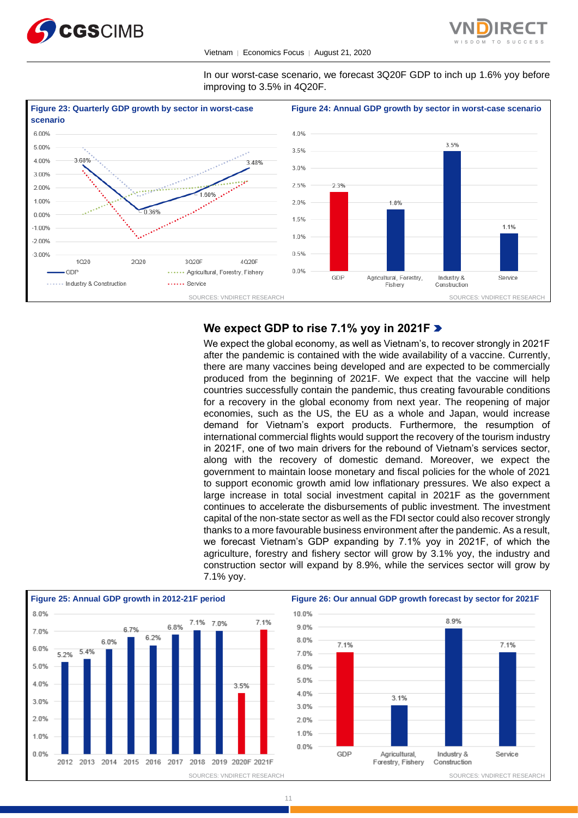



In our worst-case scenario, we forecast 3Q20F GDP to inch up 1.6% yoy before improving to 3.5% in 4Q20F.



# **We expect GDP to rise 7.1% yoy in 2021F**

We expect the global economy, as well as Vietnam's, to recover strongly in 2021F after the pandemic is contained with the wide availability of a vaccine. Currently, there are many vaccines being developed and are expected to be commercially produced from the beginning of 2021F. We expect that the vaccine will help countries successfully contain the pandemic, thus creating favourable conditions for a recovery in the global economy from next year. The reopening of major economies, such as the US, the EU as a whole and Japan, would increase demand for Vietnam's export products. Furthermore, the resumption of international commercial flights would support the recovery of the tourism industry in 2021F, one of two main drivers for the rebound of Vietnam's services sector, along with the recovery of domestic demand. Moreover, we expect the government to maintain loose monetary and fiscal policies for the whole of 2021 to support economic growth amid low inflationary pressures. We also expect a large increase in total social investment capital in 2021F as the government continues to accelerate the disbursements of public investment. The investment capital of the non-state sector as well as the FDI sector could also recover strongly thanks to a more favourable business environment after the pandemic. As a result, we forecast Vietnam's GDP expanding by 7.1% yoy in 2021F, of which the agriculture, forestry and fishery sector will grow by 3.1% yoy, the industry and construction sector will expand by 8.9%, while the services sector will grow by 7.1% yoy.



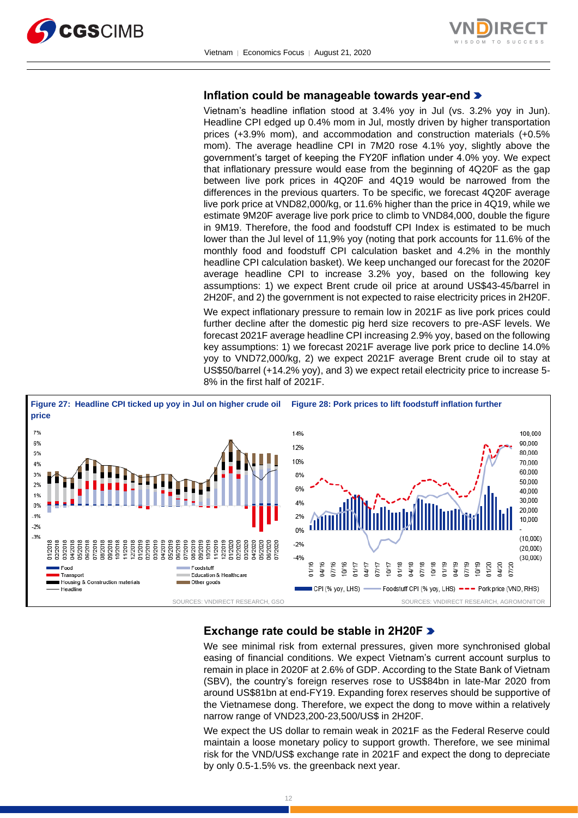



# **Inflation could be manageable towards year-end**

Vietnam's headline inflation stood at 3.4% yoy in Jul (vs. 3.2% yoy in Jun). Headline CPI edged up 0.4% mom in Jul, mostly driven by higher transportation prices (+3.9% mom), and accommodation and construction materials (+0.5% mom). The average headline CPI in 7M20 rose 4.1% yoy, slightly above the government's target of keeping the FY20F inflation under 4.0% yoy. We expect that inflationary pressure would ease from the beginning of 4Q20F as the gap between live pork prices in 4Q20F and 4Q19 would be narrowed from the differences in the previous quarters. To be specific, we forecast 4Q20F average live pork price at VND82,000/kg, or 11.6% higher than the price in 4Q19, while we estimate 9M20F average live pork price to climb to VND84,000, double the figure in 9M19. Therefore, the food and foodstuff CPI Index is estimated to be much lower than the Jul level of 11,9% yoy (noting that pork accounts for 11.6% of the monthly food and foodstuff CPI calculation basket and 4.2% in the monthly headline CPI calculation basket). We keep unchanged our forecast for the 2020F average headline CPI to increase 3.2% yoy, based on the following key assumptions: 1) we expect Brent crude oil price at around US\$43-45/barrel in 2H20F, and 2) the government is not expected to raise electricity prices in 2H20F.

We expect inflationary pressure to remain low in 2021F as live pork prices could further decline after the domestic pig herd size recovers to pre-ASF levels. We forecast 2021F average headline CPI increasing 2.9% yoy, based on the following key assumptions: 1) we forecast 2021F average live pork price to decline 14.0% yoy to VND72,000/kg, 2) we expect 2021F average Brent crude oil to stay at US\$50/barrel (+14.2% yoy), and 3) we expect retail electricity price to increase 5- 8% in the first half of 2021F.



# **Exchange rate could be stable in 2H20F**

We see minimal risk from external pressures, given more synchronised global easing of financial conditions. We expect Vietnam's current account surplus to remain in place in 2020F at 2.6% of GDP. According to the State Bank of Vietnam (SBV), the country's foreign reserves rose to US\$84bn in late-Mar 2020 from around US\$81bn at end-FY19. Expanding forex reserves should be supportive of the Vietnamese dong. Therefore, we expect the dong to move within a relatively narrow range of VND23,200-23,500/US\$ in 2H20F.

We expect the US dollar to remain weak in 2021F as the Federal Reserve could maintain a loose monetary policy to support growth. Therefore, we see minimal risk for the VND/US\$ exchange rate in 2021F and expect the dong to depreciate by only 0.5-1.5% vs. the greenback next year.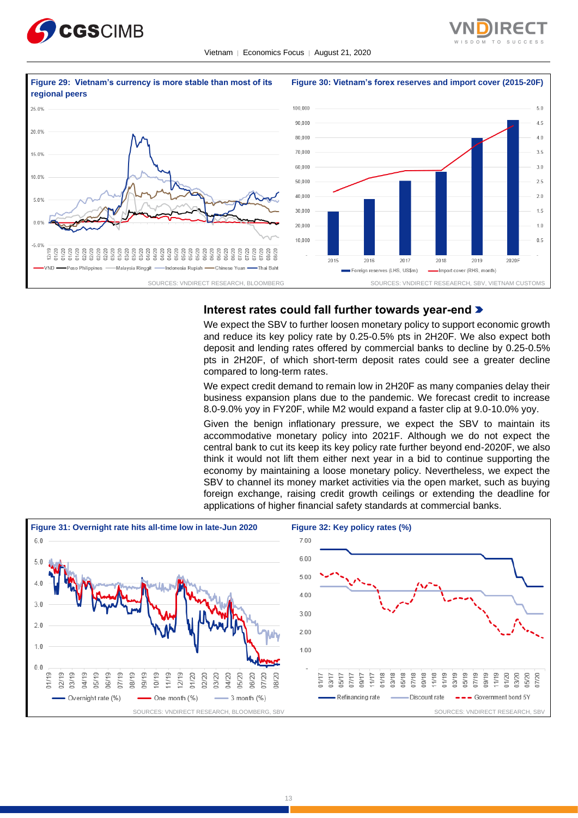





# **Interest rates could fall further towards year-end**

We expect the SBV to further loosen monetary policy to support economic growth and reduce its key policy rate by 0.25-0.5% pts in 2H20F. We also expect both deposit and lending rates offered by commercial banks to decline by 0.25-0.5% pts in 2H20F, of which short-term deposit rates could see a greater decline compared to long-term rates.

We expect credit demand to remain low in 2H20F as many companies delay their business expansion plans due to the pandemic. We forecast credit to increase 8.0-9.0% yoy in FY20F, while M2 would expand a faster clip at 9.0-10.0% yoy.

Given the benign inflationary pressure, we expect the SBV to maintain its accommodative monetary policy into 2021F. Although we do not expect the central bank to cut its keep its key policy rate further beyond end-2020F, we also think it would not lift them either next year in a bid to continue supporting the economy by maintaining a loose monetary policy. Nevertheless, we expect the SBV to channel its money market activities via the open market, such as buying foreign exchange, raising credit growth ceilings or extending the deadline for applications of higher financial safety standards at commercial banks.

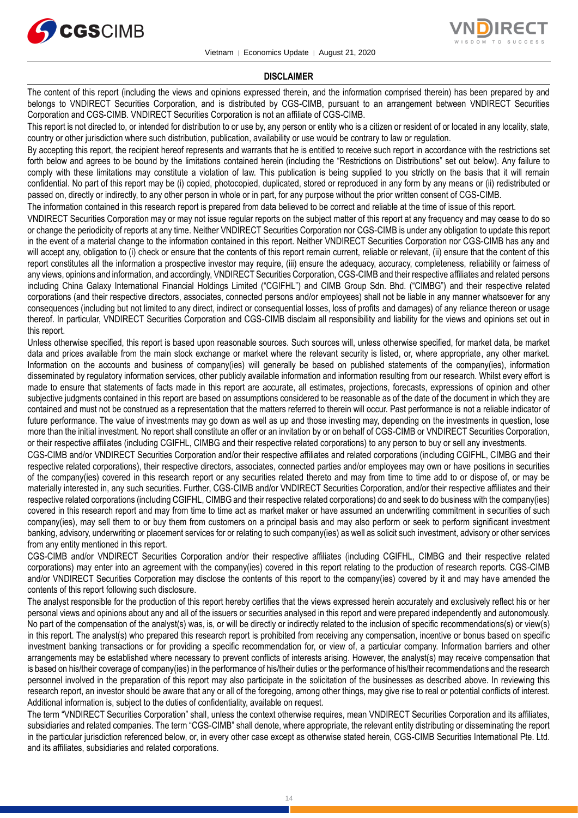



#### **DISCLAIMER**

The content of this report (including the views and opinions expressed therein, and the information comprised therein) has been prepared by and belongs to VNDIRECT Securities Corporation, and is distributed by CGS-CIMB, pursuant to an arrangement between VNDIRECT Securities Corporation and CGS-CIMB. VNDIRECT Securities Corporation is not an affiliate of CGS-CIMB.

This report is not directed to, or intended for distribution to or use by, any person or entity who is a citizen or resident of or located in any locality, state, country or other jurisdiction where such distribution, publication, availability or use would be contrary to law or regulation.

By accepting this report, the recipient hereof represents and warrants that he is entitled to receive such report in accordance with the restrictions set forth below and agrees to be bound by the limitations contained herein (including the "Restrictions on Distributions" set out below). Any failure to comply with these limitations may constitute a violation of law. This publication is being supplied to you strictly on the basis that it will remain confidential. No part of this report may be (i) copied, photocopied, duplicated, stored or reproduced in any form by any means or (ii) redistributed or passed on, directly or indirectly, to any other person in whole or in part, for any purpose without the prior written consent of CGS-CIMB.

The information contained in this research report is prepared from data believed to be correct and reliable at the time of issue of this report.

VNDIRECT Securities Corporation may or may not issue regular reports on the subject matter of this report at any frequency and may cease to do so or change the periodicity of reports at any time. Neither VNDIRECT Securities Corporation nor CGS-CIMB is under any obligation to update this report in the event of a material change to the information contained in this report. Neither VNDIRECT Securities Corporation nor CGS-CIMB has any and will accept any, obligation to (i) check or ensure that the contents of this report remain current, reliable or relevant, (ii) ensure that the content of this report constitutes all the information a prospective investor may require, (iii) ensure the adequacy, accuracy, completeness, reliability or fairness of any views, opinions and information, and accordingly, VNDIRECT Securities Corporation, CGS-CIMB and their respective affiliates and related persons including China Galaxy International Financial Holdings Limited ("CGIFHL") and CIMB Group Sdn. Bhd. ("CIMBG") and their respective related corporations (and their respective directors, associates, connected persons and/or employees) shall not be liable in any manner whatsoever for any consequences (including but not limited to any direct, indirect or consequential losses, loss of profits and damages) of any reliance thereon or usage thereof. In particular, VNDIRECT Securities Corporation and CGS-CIMB disclaim all responsibility and liability for the views and opinions set out in this report.

Unless otherwise specified, this report is based upon reasonable sources. Such sources will, unless otherwise specified, for market data, be market data and prices available from the main stock exchange or market where the relevant security is listed, or, where appropriate, any other market. Information on the accounts and business of company(ies) will generally be based on published statements of the company(ies), information disseminated by regulatory information services, other publicly available information and information resulting from our research. Whilst every effort is made to ensure that statements of facts made in this report are accurate, all estimates, projections, forecasts, expressions of opinion and other subjective judgments contained in this report are based on assumptions considered to be reasonable as of the date of the document in which they are contained and must not be construed as a representation that the matters referred to therein will occur. Past performance is not a reliable indicator of future performance. The value of investments may go down as well as up and those investing may, depending on the investments in question, lose more than the initial investment. No report shall constitute an offer or an invitation by or on behalf of CGS-CIMB or VNDIRECT Securities Corporation, or their respective affiliates (including CGIFHL, CIMBG and their respective related corporations) to any person to buy or sell any investments.

CGS-CIMB and/or VNDIRECT Securities Corporation and/or their respective affiliates and related corporations (including CGIFHL, CIMBG and their respective related corporations), their respective directors, associates, connected parties and/or employees may own or have positions in securities of the company(ies) covered in this research report or any securities related thereto and may from time to time add to or dispose of, or may be materially interested in, any such securities. Further, CGS-CIMB and/or VNDIRECT Securities Corporation, and/or their respective affiliates and their respective related corporations (including CGIFHL, CIMBG and their respective related corporations) do and seek to do business with the company(ies) covered in this research report and may from time to time act as market maker or have assumed an underwriting commitment in securities of such company(ies), may sell them to or buy them from customers on a principal basis and may also perform or seek to perform significant investment banking, advisory, underwriting or placement services for or relating to such company(ies) as well as solicit such investment, advisory or other services from any entity mentioned in this report.

CGS-CIMB and/or VNDIRECT Securities Corporation and/or their respective affiliates (including CGIFHL, CIMBG and their respective related corporations) may enter into an agreement with the company(ies) covered in this report relating to the production of research reports. CGS-CIMB and/or VNDIRECT Securities Corporation may disclose the contents of this report to the company(ies) covered by it and may have amended the contents of this report following such disclosure.

The analyst responsible for the production of this report hereby certifies that the views expressed herein accurately and exclusively reflect his or her personal views and opinions about any and all of the issuers or securities analysed in this report and were prepared independently and autonomously. No part of the compensation of the analyst(s) was, is, or will be directly or indirectly related to the inclusion of specific recommendations(s) or view(s) in this report. The analyst(s) who prepared this research report is prohibited from receiving any compensation, incentive or bonus based on specific investment banking transactions or for providing a specific recommendation for, or view of, a particular company. Information barriers and other arrangements may be established where necessary to prevent conflicts of interests arising. However, the analyst(s) may receive compensation that is based on his/their coverage of company(ies) in the performance of his/their duties or the performance of his/their recommendations and the research personnel involved in the preparation of this report may also participate in the solicitation of the businesses as described above. In reviewing this research report, an investor should be aware that any or all of the foregoing, among other things, may give rise to real or potential conflicts of interest. Additional information is, subject to the duties of confidentiality, available on request.

The term "VNDIRECT Securities Corporation" shall, unless the context otherwise requires, mean VNDIRECT Securities Corporation and its affiliates, subsidiaries and related companies. The term "CGS-CIMB" shall denote, where appropriate, the relevant entity distributing or disseminating the report in the particular jurisdiction referenced below, or, in every other case except as otherwise stated herein, CGS-CIMB Securities International Pte. Ltd. and its affiliates, subsidiaries and related corporations.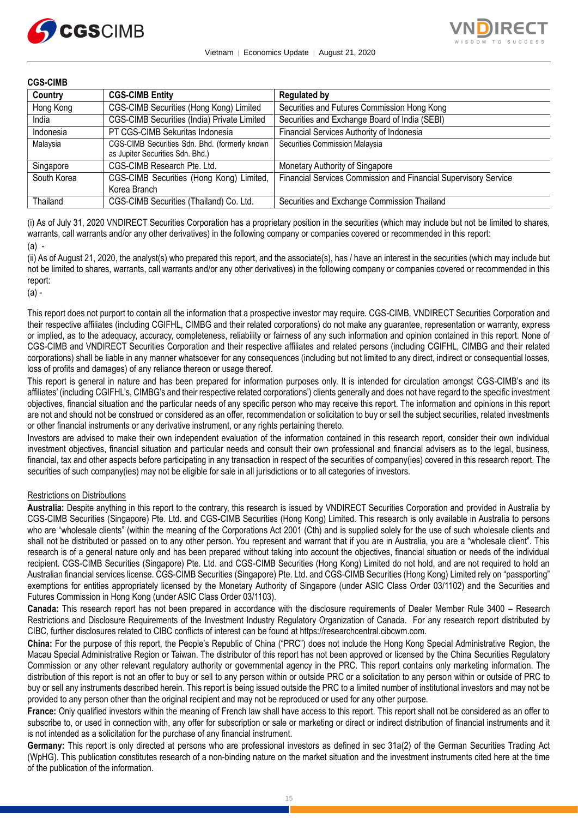



### **CGS-CIMB**

| Country     | <b>CGS-CIMB Entity</b>                                                            | <b>Regulated by</b>                                             |
|-------------|-----------------------------------------------------------------------------------|-----------------------------------------------------------------|
| Hong Kong   | CGS-CIMB Securities (Hong Kong) Limited                                           | Securities and Futures Commission Hong Kong                     |
| India       | CGS-CIMB Securities (India) Private Limited                                       | Securities and Exchange Board of India (SEBI)                   |
| Indonesia   | PT CGS-CIMB Sekuritas Indonesia                                                   | Financial Services Authority of Indonesia                       |
| Malaysia    | CGS-CIMB Securities Sdn. Bhd. (formerly known<br>as Jupiter Securities Sdn. Bhd.) | Securities Commission Malaysia                                  |
| Singapore   | CGS-CIMB Research Pte. Ltd.                                                       | Monetary Authority of Singapore                                 |
| South Korea | CGS-CIMB Securities (Hong Kong) Limited,<br>Korea Branch                          | Financial Services Commission and Financial Supervisory Service |
| Thailand    | CGS-CIMB Securities (Thailand) Co. Ltd.                                           | Securities and Exchange Commission Thailand                     |

(i) As of July 31, 2020 VNDIRECT Securities Corporation has a proprietary position in the securities (which may include but not be limited to shares, warrants, call warrants and/or any other derivatives) in the following company or companies covered or recommended in this report: (a) -

(ii) As of August 21, 2020, the analyst(s) who prepared this report, and the associate(s), has / have an interest in the securities (which may include but not be limited to shares, warrants, call warrants and/or any other derivatives) in the following company or companies covered or recommended in this report:

(a) -

This report does not purport to contain all the information that a prospective investor may require. CGS-CIMB, VNDIRECT Securities Corporation and their respective affiliates (including CGIFHL, CIMBG and their related corporations) do not make any guarantee, representation or warranty, express or implied, as to the adequacy, accuracy, completeness, reliability or fairness of any such information and opinion contained in this report. None of CGS-CIMB and VNDIRECT Securities Corporation and their respective affiliates and related persons (including CGIFHL, CIMBG and their related corporations) shall be liable in any manner whatsoever for any consequences (including but not limited to any direct, indirect or consequential losses, loss of profits and damages) of any reliance thereon or usage thereof.

This report is general in nature and has been prepared for information purposes only. It is intended for circulation amongst CGS-CIMB's and its affiliates' (including CGIFHL's, CIMBG's and their respective related corporations') clients generally and does not have regard to the specific investment objectives, financial situation and the particular needs of any specific person who may receive this report. The information and opinions in this report are not and should not be construed or considered as an offer, recommendation or solicitation to buy or sell the subject securities, related investments or other financial instruments or any derivative instrument, or any rights pertaining thereto.

Investors are advised to make their own independent evaluation of the information contained in this research report, consider their own individual investment objectives, financial situation and particular needs and consult their own professional and financial advisers as to the legal, business, financial, tax and other aspects before participating in any transaction in respect of the securities of company(ies) covered in this research report. The securities of such company(ies) may not be eligible for sale in all jurisdictions or to all categories of investors.

#### Restrictions on Distributions

**Australia:** Despite anything in this report to the contrary, this research is issued by VNDIRECT Securities Corporation and provided in Australia by CGS-CIMB Securities (Singapore) Pte. Ltd. and CGS-CIMB Securities (Hong Kong) Limited. This research is only available in Australia to persons who are "wholesale clients" (within the meaning of the Corporations Act 2001 (Cth) and is supplied solely for the use of such wholesale clients and shall not be distributed or passed on to any other person. You represent and warrant that if you are in Australia, you are a "wholesale client". This research is of a general nature only and has been prepared without taking into account the objectives, financial situation or needs of the individual recipient. CGS-CIMB Securities (Singapore) Pte. Ltd. and CGS-CIMB Securities (Hong Kong) Limited do not hold, and are not required to hold an Australian financial services license. CGS-CIMB Securities (Singapore) Pte. Ltd. and CGS-CIMB Securities (Hong Kong) Limited rely on "passporting" exemptions for entities appropriately licensed by the Monetary Authority of Singapore (under ASIC Class Order 03/1102) and the Securities and Futures Commission in Hong Kong (under ASIC Class Order 03/1103).

**Canada:** This research report has not been prepared in accordance with the disclosure requirements of Dealer Member Rule 3400 – Research Restrictions and Disclosure Requirements of the Investment Industry Regulatory Organization of Canada. For any research report distributed by CIBC, further disclosures related to CIBC conflicts of interest can be found at https://researchcentral.cibcwm.com.

**China:** For the purpose of this report, the People's Republic of China ("PRC") does not include the Hong Kong Special Administrative Region, the Macau Special Administrative Region or Taiwan. The distributor of this report has not been approved or licensed by the China Securities Regulatory Commission or any other relevant regulatory authority or governmental agency in the PRC. This report contains only marketing information. The distribution of this report is not an offer to buy or sell to any person within or outside PRC or a solicitation to any person within or outside of PRC to buy or sell any instruments described herein. This report is being issued outside the PRC to a limited number of institutional investors and may not be provided to any person other than the original recipient and may not be reproduced or used for any other purpose.

**France:** Only qualified investors within the meaning of French law shall have access to this report. This report shall not be considered as an offer to subscribe to, or used in connection with, any offer for subscription or sale or marketing or direct or indirect distribution of financial instruments and it is not intended as a solicitation for the purchase of any financial instrument.

**Germany:** This report is only directed at persons who are professional investors as defined in sec 31a(2) of the German Securities Trading Act (WpHG). This publication constitutes research of a non-binding nature on the market situation and the investment instruments cited here at the time of the publication of the information.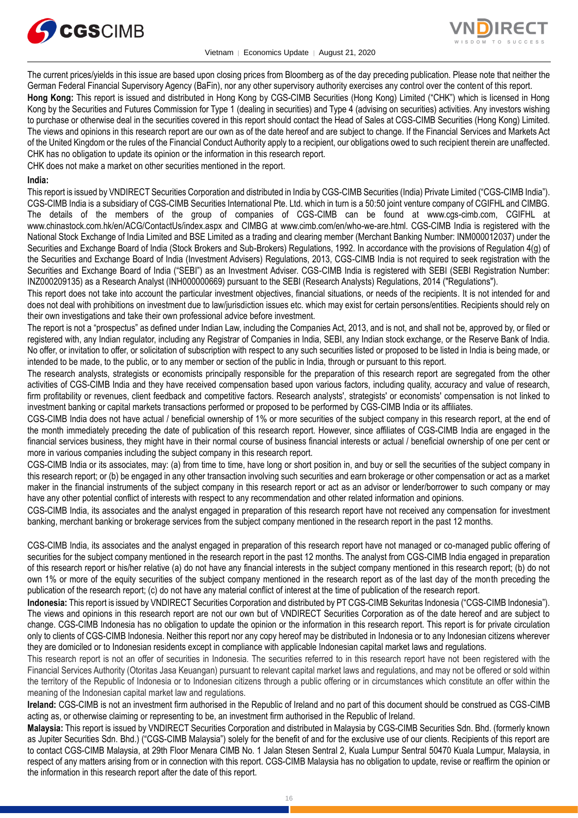

Vietnam │ Economics Update │ August 21, 2020



The current prices/yields in this issue are based upon closing prices from Bloomberg as of the day preceding publication. Please note that neither the German Federal Financial Supervisory Agency (BaFin), nor any other supervisory authority exercises any control over the content of this report.

**Hong Kong:** This report is issued and distributed in Hong Kong by CGS-CIMB Securities (Hong Kong) Limited ("CHK") which is licensed in Hong Kong by the Securities and Futures Commission for Type 1 (dealing in securities) and Type 4 (advising on securities) activities. Any investors wishing to purchase or otherwise deal in the securities covered in this report should contact the Head of Sales at CGS-CIMB Securities (Hong Kong) Limited. The views and opinions in this research report are our own as of the date hereof and are subject to change. If the Financial Services and Markets Act of the United Kingdom or the rules of the Financial Conduct Authority apply to a recipient, our obligations owed to such recipient therein are unaffected. CHK has no obligation to update its opinion or the information in this research report.

CHK does not make a market on other securities mentioned in the report.

### **India:**

This report is issued by VNDIRECT Securities Corporation and distributed in India by CGS-CIMB Securities (India) Private Limited ("CGS-CIMB India"). CGS-CIMB India is a subsidiary of CGS-CIMB Securities International Pte. Ltd. which in turn is a 50:50 joint venture company of CGIFHL and CIMBG. The details of the members of the group of companies of CGS-CIMB can be found at www.cgs-cimb.com, CGIFHL at www.chinastock.com.hk/en/ACG/ContactUs/index.aspx and CIMBG at www.cimb.com/en/who-we-are.html. CGS-CIMB India is registered with the National Stock Exchange of India Limited and BSE Limited as a trading and clearing member (Merchant Banking Number: INM000012037) under the Securities and Exchange Board of India (Stock Brokers and Sub-Brokers) Regulations, 1992. In accordance with the provisions of Regulation 4(g) of the Securities and Exchange Board of India (Investment Advisers) Regulations, 2013, CGS-CIMB India is not required to seek registration with the Securities and Exchange Board of India ("SEBI") as an Investment Adviser. CGS-CIMB India is registered with SEBI (SEBI Registration Number: INZ000209135) as a Research Analyst (INH000000669) pursuant to the SEBI (Research Analysts) Regulations, 2014 ("Regulations").

This report does not take into account the particular investment objectives, financial situations, or needs of the recipients. It is not intended for and does not deal with prohibitions on investment due to law/jurisdiction issues etc. which may exist for certain persons/entities. Recipients should rely on their own investigations and take their own professional advice before investment.

The report is not a "prospectus" as defined under Indian Law, including the Companies Act, 2013, and is not, and shall not be, approved by, or filed or registered with, any Indian regulator, including any Registrar of Companies in India, SEBI, any Indian stock exchange, or the Reserve Bank of India. No offer, or invitation to offer, or solicitation of subscription with respect to any such securities listed or proposed to be listed in India is being made, or intended to be made, to the public, or to any member or section of the public in India, through or pursuant to this report.

The research analysts, strategists or economists principally responsible for the preparation of this research report are segregated from the other activities of CGS-CIMB India and they have received compensation based upon various factors, including quality, accuracy and value of research, firm profitability or revenues, client feedback and competitive factors. Research analysts', strategists' or economists' compensation is not linked to investment banking or capital markets transactions performed or proposed to be performed by CGS-CIMB India or its affiliates.

CGS-CIMB India does not have actual / beneficial ownership of 1% or more securities of the subject company in this research report, at the end of the month immediately preceding the date of publication of this research report. However, since affiliates of CGS-CIMB India are engaged in the financial services business, they might have in their normal course of business financial interests or actual / beneficial ownership of one per cent or more in various companies including the subject company in this research report.

CGS-CIMB India or its associates, may: (a) from time to time, have long or short position in, and buy or sell the securities of the subject company in this research report; or (b) be engaged in any other transaction involving such securities and earn brokerage or other compensation or act as a market maker in the financial instruments of the subject company in this research report or act as an advisor or lender/borrower to such company or may have any other potential conflict of interests with respect to any recommendation and other related information and opinions.

CGS-CIMB India, its associates and the analyst engaged in preparation of this research report have not received any compensation for investment banking, merchant banking or brokerage services from the subject company mentioned in the research report in the past 12 months.

CGS-CIMB India, its associates and the analyst engaged in preparation of this research report have not managed or co-managed public offering of securities for the subject company mentioned in the research report in the past 12 months. The analyst from CGS-CIMB India engaged in preparation of this research report or his/her relative (a) do not have any financial interests in the subject company mentioned in this research report; (b) do not own 1% or more of the equity securities of the subject company mentioned in the research report as of the last day of the month preceding the publication of the research report; (c) do not have any material conflict of interest at the time of publication of the research report.

**Indonesia:** This report is issued by VNDIRECT Securities Corporation and distributed by PT CGS-CIMB Sekuritas Indonesia ("CGS-CIMB Indonesia"). The views and opinions in this research report are not our own but of VNDIRECT Securities Corporation as of the date hereof and are subject to change. CGS-CIMB Indonesia has no obligation to update the opinion or the information in this research report. This report is for private circulation only to clients of CGS-CIMB Indonesia. Neither this report nor any copy hereof may be distributed in Indonesia or to any Indonesian citizens wherever they are domiciled or to Indonesian residents except in compliance with applicable Indonesian capital market laws and regulations.

This research report is not an offer of securities in Indonesia. The securities referred to in this research report have not been registered with the Financial Services Authority (Otoritas Jasa Keuangan) pursuant to relevant capital market laws and regulations, and may not be offered or sold within the territory of the Republic of Indonesia or to Indonesian citizens through a public offering or in circumstances which constitute an offer within the meaning of the Indonesian capital market law and regulations.

**Ireland:** CGS-CIMB is not an investment firm authorised in the Republic of Ireland and no part of this document should be construed as CGS-CIMB acting as, or otherwise claiming or representing to be, an investment firm authorised in the Republic of Ireland.

**Malaysia:** This report is issued by VNDIRECT Securities Corporation and distributed in Malaysia by CGS-CIMB Securities Sdn. Bhd. (formerly known as Jupiter Securities Sdn. Bhd.) ("CGS-CIMB Malaysia") solely for the benefit of and for the exclusive use of our clients. Recipients of this report are to contact CGS-CIMB Malaysia, at 29th Floor Menara CIMB No. 1 Jalan Stesen Sentral 2, Kuala Lumpur Sentral 50470 Kuala Lumpur, Malaysia, in respect of any matters arising from or in connection with this report. CGS-CIMB Malaysia has no obligation to update, revise or reaffirm the opinion or the information in this research report after the date of this report.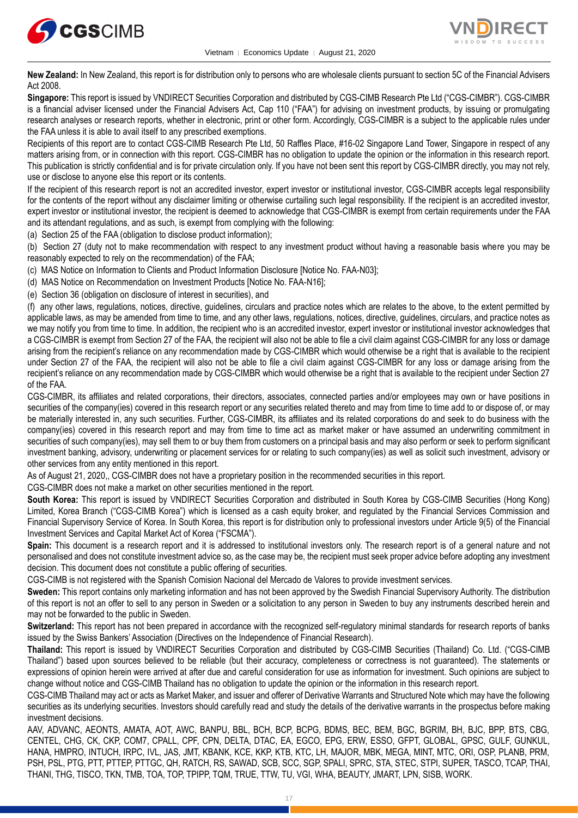



**New Zealand:** In New Zealand, this report is for distribution only to persons who are wholesale clients pursuant to section 5C of the Financial Advisers Act 2008.

**Singapore:** This report is issued by VNDIRECT Securities Corporation and distributed by CGS-CIMB Research Pte Ltd ("CGS-CIMBR"). CGS-CIMBR is a financial adviser licensed under the Financial Advisers Act, Cap 110 ("FAA") for advising on investment products, by issuing or promulgating research analyses or research reports, whether in electronic, print or other form. Accordingly, CGS-CIMBR is a subject to the applicable rules under the FAA unless it is able to avail itself to any prescribed exemptions.

Recipients of this report are to contact CGS-CIMB Research Pte Ltd, 50 Raffles Place, #16-02 Singapore Land Tower, Singapore in respect of any matters arising from, or in connection with this report. CGS-CIMBR has no obligation to update the opinion or the information in this research report. This publication is strictly confidential and is for private circulation only. If you have not been sent this report by CGS-CIMBR directly, you may not rely, use or disclose to anyone else this report or its contents.

If the recipient of this research report is not an accredited investor, expert investor or institutional investor, CGS-CIMBR accepts legal responsibility for the contents of the report without any disclaimer limiting or otherwise curtailing such legal responsibility. If the recipient is an accredited investor, expert investor or institutional investor, the recipient is deemed to acknowledge that CGS-CIMBR is exempt from certain requirements under the FAA and its attendant regulations, and as such, is exempt from complying with the following:

(a) Section 25 of the FAA (obligation to disclose product information);

(b) Section 27 (duty not to make recommendation with respect to any investment product without having a reasonable basis where you may be reasonably expected to rely on the recommendation) of the FAA;

(c) MAS Notice on Information to Clients and Product Information Disclosure [Notice No. FAA-N03];

(d) MAS Notice on Recommendation on Investment Products [Notice No. FAA-N16];

(e) Section 36 (obligation on disclosure of interest in securities), and

(f) any other laws, regulations, notices, directive, guidelines, circulars and practice notes which are relates to the above, to the extent permitted by applicable laws, as may be amended from time to time, and any other laws, regulations, notices, directive, guidelines, circulars, and practice notes as we may notify you from time to time. In addition, the recipient who is an accredited investor, expert investor or institutional investor acknowledges that a CGS-CIMBR is exempt from Section 27 of the FAA, the recipient will also not be able to file a civil claim against CGS-CIMBR for any loss or damage arising from the recipient's reliance on any recommendation made by CGS-CIMBR which would otherwise be a right that is available to the recipient under Section 27 of the FAA, the recipient will also not be able to file a civil claim against CGS-CIMBR for any loss or damage arising from the recipient's reliance on any recommendation made by CGS-CIMBR which would otherwise be a right that is available to the recipient under Section 27 of the FAA.

CGS-CIMBR, its affiliates and related corporations, their directors, associates, connected parties and/or employees may own or have positions in securities of the company(ies) covered in this research report or any securities related thereto and may from time to time add to or dispose of, or may be materially interested in, any such securities. Further, CGS-CIMBR, its affiliates and its related corporations do and seek to do business with the company(ies) covered in this research report and may from time to time act as market maker or have assumed an underwriting commitment in securities of such company(ies), may sell them to or buy them from customers on a principal basis and may also perform or seek to perform significant investment banking, advisory, underwriting or placement services for or relating to such company(ies) as well as solicit such investment, advisory or other services from any entity mentioned in this report.

As of August 21, 2020,, CGS-CIMBR does not have a proprietary position in the recommended securities in this report.

CGS-CIMBR does not make a market on other securities mentioned in the report.

**South Korea:** This report is issued by VNDIRECT Securities Corporation and distributed in South Korea by CGS-CIMB Securities (Hong Kong) Limited, Korea Branch ("CGS-CIMB Korea") which is licensed as a cash equity broker, and regulated by the Financial Services Commission and Financial Supervisory Service of Korea. In South Korea, this report is for distribution only to professional investors under Article 9(5) of the Financial Investment Services and Capital Market Act of Korea ("FSCMA").

**Spain:** This document is a research report and it is addressed to institutional investors only. The research report is of a general nature and not personalised and does not constitute investment advice so, as the case may be, the recipient must seek proper advice before adopting any investment decision. This document does not constitute a public offering of securities.

CGS-CIMB is not registered with the Spanish Comision Nacional del Mercado de Valores to provide investment services.

**Sweden:** This report contains only marketing information and has not been approved by the Swedish Financial Supervisory Authority. The distribution of this report is not an offer to sell to any person in Sweden or a solicitation to any person in Sweden to buy any instruments described herein and may not be forwarded to the public in Sweden.

**Switzerland:** This report has not been prepared in accordance with the recognized self-regulatory minimal standards for research reports of banks issued by the Swiss Bankers' Association (Directives on the Independence of Financial Research).

**Thailand:** This report is issued by VNDIRECT Securities Corporation and distributed by CGS-CIMB Securities (Thailand) Co. Ltd. ("CGS-CIMB Thailand") based upon sources believed to be reliable (but their accuracy, completeness or correctness is not guaranteed). The statements or expressions of opinion herein were arrived at after due and careful consideration for use as information for investment. Such opinions are subject to change without notice and CGS-CIMB Thailand has no obligation to update the opinion or the information in this research report.

CGS-CIMB Thailand may act or acts as Market Maker, and issuer and offerer of Derivative Warrants and Structured Note which may have the following securities as its underlying securities. Investors should carefully read and study the details of the derivative warrants in the prospectus before making investment decisions.

AAV, ADVANC, AEONTS, AMATA, AOT, AWC, BANPU, BBL, BCH, BCP, BCPG, BDMS, BEC, BEM, BGC, BGRIM, BH, BJC, BPP, BTS, CBG, CENTEL, CHG, CK, CKP, COM7, CPALL, CPF, CPN, DELTA, DTAC, EA, EGCO, EPG, ERW, ESSO, GFPT, GLOBAL, GPSC, GULF, GUNKUL, HANA, HMPRO, INTUCH, IRPC, IVL, JAS, JMT, KBANK, KCE, KKP, KTB, KTC, LH, MAJOR, MBK, MEGA, MINT, MTC, ORI, OSP, PLANB, PRM, PSH, PSL, PTG, PTT, PTTEP, PTTGC, QH, RATCH, RS, SAWAD, SCB, SCC, SGP, SPALI, SPRC, STA, STEC, STPI, SUPER, TASCO, TCAP, THAI, THANI, THG, TISCO, TKN, TMB, TOA, TOP, TPIPP, TQM, TRUE, TTW, TU, VGI, WHA, BEAUTY, JMART, LPN, SISB, WORK.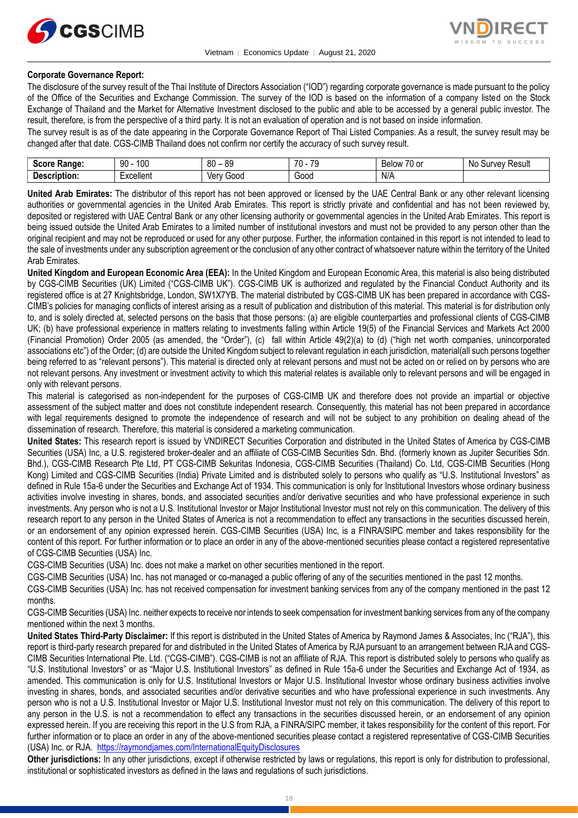



#### **Corporate Governance Report:**

The disclosure of the survey result of the Thai Institute of Directors Association ("IOD") regarding corporate governance is made pursuant to the policy of the Office of the Securities and Exchange Commission. The survey of the IOD is based on the information of a company listed on the Stock Exchange of Thailand and the Market for Alternative Investment disclosed to the public and able to be accessed by a general public investor. The result, therefore, is from the perspective of a third party. It is not an evaluation of operation and is not based on inside information.

The survey result is as of the date appearing in the Corporate Governance Report of Thai Listed Companies. As a result, the survey result may be changed after that date. CGS-CIMB Thailand does not confirm nor certify the accuracy of such survey result.

| <b>Score</b><br>Range: | 10C<br>۵N<br>ĴU | 80<br>0C<br>೦೮<br>. | 70<br>$\overline{\phantom{a}}$<br><br>. . | $\sim$ $\sim$<br>D <sub>o</sub><br><b>Below</b><br>י היו<br>וש ש | Νo<br>Result<br><b>INVAV</b><br>ou |
|------------------------|-----------------|---------------------|-------------------------------------------|------------------------------------------------------------------|------------------------------------|
| -<br>Description:      | -<br>Excellent  | Ven<br>Good         | Good                                      | N/A                                                              |                                    |

**United Arab Emirates:** The distributor of this report has not been approved or licensed by the UAE Central Bank or any other relevant licensing authorities or governmental agencies in the United Arab Emirates. This report is strictly private and confidential and has not been reviewed by, deposited or registered with UAE Central Bank or any other licensing authority or governmental agencies in the United Arab Emirates. This report is being issued outside the United Arab Emirates to a limited number of institutional investors and must not be provided to any person other than the original recipient and may not be reproduced or used for any other purpose. Further, the information contained in this report is not intended to lead to the sale of investments under any subscription agreement or the conclusion of any other contract of whatsoever nature within the territory of the United Arab Emirates.

**United Kingdom and European Economic Area (EEA):** In the United Kingdom and European Economic Area, this material is also being distributed by CGS-CIMB Securities (UK) Limited ("CGS-CIMB UK"). CGS-CIMB UK is authorized and regulated by the Financial Conduct Authority and its registered office is at 27 Knightsbridge, London, SW1X7YB. The material distributed by CGS-CIMB UK has been prepared in accordance with CGS-CIMB's policies for managing conflicts of interest arising as a result of publication and distribution of this material. This material is for distribution only to, and is solely directed at, selected persons on the basis that those persons: (a) are eligible counterparties and professional clients of CGS-CIMB UK; (b) have professional experience in matters relating to investments falling within Article 19(5) of the Financial Services and Markets Act 2000 (Financial Promotion) Order 2005 (as amended, the "Order"), (c) fall within Article 49(2)(a) to (d) ("high net worth companies, unincorporated associations etc") of the Order; (d) are outside the United Kingdom subject to relevant regulation in each jurisdiction, material(all such persons together being referred to as "relevant persons"). This material is directed only at relevant persons and must not be acted on or relied on by persons who are not relevant persons. Any investment or investment activity to which this material relates is available only to relevant persons and will be engaged in only with relevant persons.

This material is categorised as non-independent for the purposes of CGS-CIMB UK and therefore does not provide an impartial or objective assessment of the subject matter and does not constitute independent research. Consequently, this material has not been prepared in accordance with legal requirements designed to promote the independence of research and will not be subject to any prohibition on dealing ahead of the dissemination of research. Therefore, this material is considered a marketing communication.

**United States:** This research report is issued by VNDIRECT Securities Corporation and distributed in the United States of America by CGS-CIMB Securities (USA) Inc, a U.S. registered broker-dealer and an affiliate of CGS-CIMB Securities Sdn. Bhd. (formerly known as Jupiter Securities Sdn. Bhd.), CGS-CIMB Research Pte Ltd, PT CGS-CIMB Sekuritas Indonesia, CGS-CIMB Securities (Thailand) Co. Ltd, CGS-CIMB Securities (Hong Kong) Limited and CGS-CIMB Securities (India) Private Limited and is distributed solely to persons who qualify as "U.S. Institutional Investors" as defined in Rule 15a-6 under the Securities and Exchange Act of 1934. This communication is only for Institutional Investors whose ordinary business activities involve investing in shares, bonds, and associated securities and/or derivative securities and who have professional experience in such investments. Any person who is not a U.S. Institutional Investor or Major Institutional Investor must not rely on this communication. The delivery of this research report to any person in the United States of America is not a recommendation to effect any transactions in the securities discussed herein, or an endorsement of any opinion expressed herein. CGS-CIMB Securities (USA) Inc, is a FINRA/SIPC member and takes responsibility for the content of this report. For further information or to place an order in any of the above-mentioned securities please contact a registered representative of CGS-CIMB Securities (USA) Inc.

CGS-CIMB Securities (USA) Inc. does not make a market on other securities mentioned in the report.

CGS-CIMB Securities (USA) Inc. has not managed or co-managed a public offering of any of the securities mentioned in the past 12 months.

CGS-CIMB Securities (USA) Inc. has not received compensation for investment banking services from any of the company mentioned in the past 12 months.

CGS-CIMB Securities (USA) Inc. neither expects to receive nor intends to seek compensation for investment banking services from any of the company mentioned within the next 3 months.

**United States Third-Party Disclaimer:** If this report is distributed in the United States of America by Raymond James & Associates, Inc ("RJA"), this report is third-party research prepared for and distributed in the United States of America by RJA pursuant to an arrangement between RJA and CGS-CIMB Securities International Pte. Ltd. ("CGS-CIMB"). CGS-CIMB is not an affiliate of RJA. This report is distributed solely to persons who qualify as "U.S. Institutional Investors" or as "Major U.S. Institutional Investors" as defined in Rule 15a-6 under the Securities and Exchange Act of 1934, as amended. This communication is only for U.S. Institutional Investors or Major U.S. Institutional Investor whose ordinary business activities involve investing in shares, bonds, and associated securities and/or derivative securities and who have professional experience in such investments. Any person who is not a U.S. Institutional Investor or Major U.S. Institutional Investor must not rely on this communication. The delivery of this report to any person in the U.S. is not a recommendation to effect any transactions in the securities discussed herein, or an endorsement of any opinion expressed herein. If you are receiving this report in the U.S from RJA, a FINRA/SIPC member, it takes responsibility for the content of this report. For further information or to place an order in any of the above-mentioned securities please contact a registered representative of CGS-CIMB Securities (USA) Inc. or RJA. <https://raymondjames.com/InternationalEquityDisclosures>

**Other jurisdictions:** In any other jurisdictions, except if otherwise restricted by laws or regulations, this report is only for distribution to professional, institutional or sophisticated investors as defined in the laws and regulations of such jurisdictions.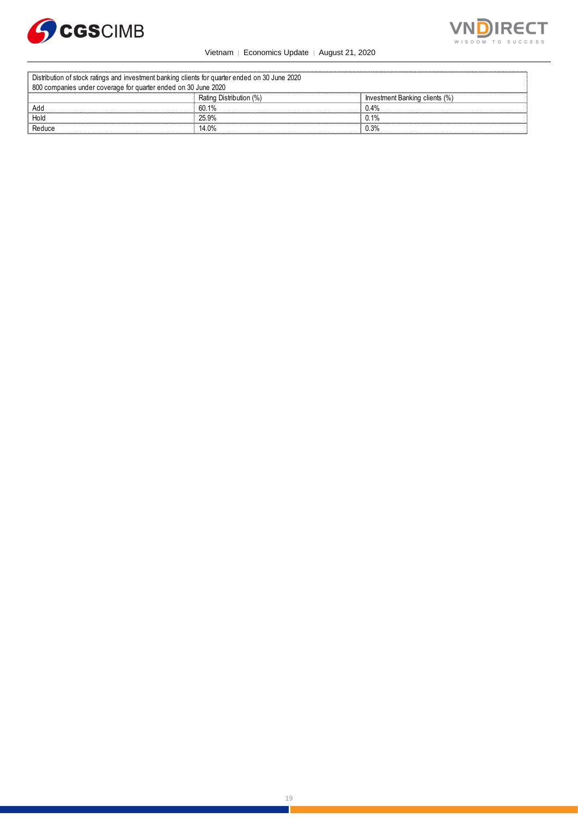



Vietnam │ Economics Update │ August 21, 2020

| Distribution of stock ratings and investment banking clients for quarter ended on 30 June 2020 |                         |                                |  |  |
|------------------------------------------------------------------------------------------------|-------------------------|--------------------------------|--|--|
| 800 companies under coverage for quarter ended on 30 June 2020                                 |                         |                                |  |  |
|                                                                                                | Rating Distribution (%) | Investment Banking clients (%) |  |  |
| Add                                                                                            | 60 1%                   | 0.4%                           |  |  |
| Hold                                                                                           | 25.9%                   | 0.1%                           |  |  |
| Reduce                                                                                         | 14.0%                   | 0.3%                           |  |  |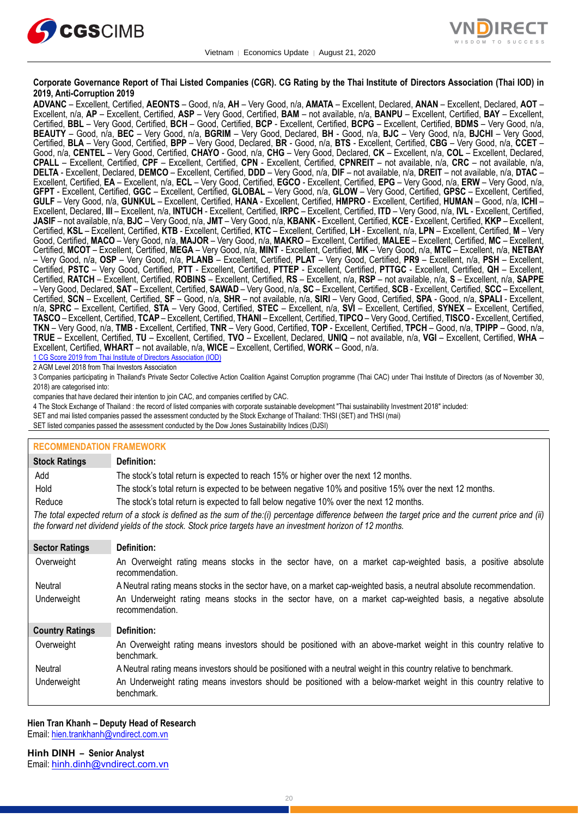



#### **Corporate Governance Report of Thai Listed Companies (CGR). CG Rating by the Thai Institute of Directors Association (Thai IOD) in 2019, Anti-Corruption 2019**

**ADVANC** – Excellent, Certified, **AEONTS** – Good, n/a, **AH** – Very Good, n/a, **AMATA** – Excellent, Declared, **ANAN** – Excellent, Declared, **AOT** – Excellent, n/a, **AP** – Excellent, Certified, **ASP** – Very Good, Certified, **BAM** – not available, n/a, **BANPU** – Excellent, Certified, **BAY** – Excellent, Certified, **BBL** – Very Good, Certified, **BCH** – Good, Certified, **BCP** - Excellent, Certified, **BCPG** – Excellent, Certified, **BDMS** – Very Good, n/a, **BEAUTY** – Good, n/a, **BEC** – Very Good, n/a, **BGRIM** – Very Good, Declared, **BH** - Good, n/a, **BJC** – Very Good, n/a, **BJCHI** – Very Good, Certified, **BLA** – Very Good, Certified, **BPP** – Very Good, Declared, **BR** - Good, n/a, **BTS** - Excellent, Certified, **CBG** – Very Good, n/a, **CCET** – Good, n/a, **CENTEL** – Very Good, Certified, **CHAYO** - Good, n/a, **CHG** – Very Good, Declared, **CK** – Excellent, n/a, **COL** – Excellent, Declared, **CPALL** – Excellent, Certified, **CPF** – Excellent, Certified, **CPN** - Excellent, Certified, **CPNREIT** – not available, n/a, **CRC** – not available, n/a, **DELTA** - Excellent, Declared, **DEMCO** – Excellent, Certified, **DDD** – Very Good, n/a, **DIF** – not available, n/a, **DREIT** – not available, n/a, **DTAC** – Excellent, Certified, **EA** – Excellent, n/a, **ECL** – Very Good, Certified, **EGCO** - Excellent, Certified, **EPG** – Very Good, n/a, **ERW** – Very Good, n/a, **GFPT** - Excellent, Certified, **GGC** – Excellent, Certified, **GLOBAL** – Very Good, n/a, **GLOW** – Very Good, Certified, **GPSC** – Excellent, Certified, **GULF** – Very Good, n/a, **GUNKUL** – Excellent, Certified, **HANA** - Excellent, Certified, **HMPRO** - Excellent, Certified, **HUMAN** – Good, n/a, **ICHI** – Excellent, Declared, **III** – Excellent, n/a, **INTUCH** - Excellent, Certified, **IRPC** – Excellent, Certified, **ITD** – Very Good, n/a, **IVL** - Excellent, Certified, **JASIF** – not available, n/a, **BJC** – Very Good, n/a, **JMT** – Very Good, n/a, **KBANK** - Excellent, Certified, **KCE** - Excellent, Certified, **KKP** – Excellent, Certified, **KSL** – Excellent, Certified, **KTB** - Excellent, Certified, **KTC** – Excellent, Certified, **LH** - Excellent, n/a, **LPN** – Excellent, Certified, **M** – Very Good, Certified, **MACO** – Very Good, n/a, **MAJOR** – Very Good, n/a, **MAKRO** – Excellent, Certified, **MALEE** – Excellent, Certified, **MC** – Excellent, Certified, **MCOT** – Excellent, Certified, **MEGA** – Very Good, n/a, **MINT** - Excellent, Certified, **MK** – Very Good, n/a, **MTC** – Excellent, n/a, **NETBAY** – Very Good, n/a, **OSP** – Very Good, n/a, **PLANB** – Excellent, Certified, **PLAT** – Very Good, Certified, **PR9** – Excellent, n/a, **PSH** – Excellent, Certified, **PSTC** – Very Good, Certified, **PTT** - Excellent, Certified, **PTTEP** - Excellent, Certified, **PTTGC** - Excellent, Certified, **QH** – Excellent, Certified, **RATCH** – Excellent, Certified, **ROBINS** – Excellent, Certified, **RS** – Excellent, n/a, **RSP** – not available, n/a, **S** – Excellent, n/a, **SAPPE** – Very Good, Declared, **SAT** – Excellent, Certified, **SAWAD** – Very Good, n/a, **SC** – Excellent, Certified, **SCB** - Excellent, Certified, **SCC** – Excellent, Certified, **SCN** – Excellent, Certified, **SF** – Good, n/a, **SHR** – not available, n/a, **SIRI** – Very Good, Certified, **SPA** - Good, n/a, **SPALI** - Excellent, n/a, **SPRC** – Excellent, Certified, **STA** – Very Good, Certified, **STEC** – Excellent, n/a, **SVI** – Excellent, Certified, **SYNEX** – Excellent, Certified, **TASCO** – Excellent, Certified, **TCAP** – Excellent, Certified, **THANI** – Excellent, Certified, **TIPCO** – Very Good, Certified, **TISCO** - Excellent, Certified, **TKN** – Very Good, n/a, **TMB** - Excellent, Certified, **TNR** – Very Good, Certified, **TOP** - Excellent, Certified, **TPCH** – Good, n/a, **TPIPP** – Good, n/a, **TRUE** – Excellent, Certified, **TU** – Excellent, Certified, **TVO** – Excellent, Declared, **UNIQ** – not available, n/a, **VGI** – Excellent, Certified, **WHA** – Excellent, Certified, **WHART** – not available, n/a, **WICE** – Excellent, Certified, **WORK** – Good, n/a.

1 CG Score 2019 from Thai Institute of Directors Association (IOD)

2 AGM Level 2018 from Thai Investors Association

3 Companies participating in Thailand's Private Sector Collective Action Coalition Against Corruption programme (Thai CAC) under Thai Institute of Directors (as of November 30, 2018) are categorised into:

companies that have declared their intention to join CAC, and companies certified by CAC.

- 4 [The Stock Exchange of Thailand : the record of listed companies with corporate sustainable development "Thai sustainability Investment 2018"](http://www.set.or.th/sustainable_dev/en/sr/sri/tsi_p1.html) included:
- SET and mai listed companies passed the assessment conducted by the Stock Exchange of Thailand: THSI (SET) and THSI (mai)

SET listed companies passed the assessment conducted by the Dow Jones Sustainability Indices (DJSI)

| <b>RECOMMENDATION FRAMEWORK</b> |                                                                                                                                                                                                                                                                   |
|---------------------------------|-------------------------------------------------------------------------------------------------------------------------------------------------------------------------------------------------------------------------------------------------------------------|
| <b>Stock Ratings</b>            | Definition:                                                                                                                                                                                                                                                       |
| Add                             | The stock's total return is expected to reach 15% or higher over the next 12 months.                                                                                                                                                                              |
| Hold                            | The stock's total return is expected to be between negative 10% and positive 15% over the next 12 months.                                                                                                                                                         |
| Reduce                          | The stock's total return is expected to fall below negative 10% over the next 12 months.                                                                                                                                                                          |
|                                 | The total expected return of a stock is defined as the sum of the:(i) percentage difference between the target price and the current price and (ii)<br>the forward net dividend yields of the stock. Stock price targets have an investment horizon of 12 months. |
| <b>Sector Ratings</b>           | Definition:                                                                                                                                                                                                                                                       |
| Overweight                      | An Overweight rating means stocks in the sector have, on a market cap-weighted basis, a positive absolute<br>recommendation.                                                                                                                                      |
| Neutral                         | A Neutral rating means stocks in the sector have, on a market cap-weighted basis, a neutral absolute recommendation.                                                                                                                                              |
| Underweight                     | An Underweight rating means stocks in the sector have, on a market cap-weighted basis, a negative absolute<br>recommendation.                                                                                                                                     |
| <b>Country Ratings</b>          | Definition:                                                                                                                                                                                                                                                       |
| Overweight                      | An Overweight rating means investors should be positioned with an above-market weight in this country relative to<br>benchmark.                                                                                                                                   |
| Neutral                         | A Neutral rating means investors should be positioned with a neutral weight in this country relative to benchmark.                                                                                                                                                |
| Underweight                     | An Underweight rating means investors should be positioned with a below-market weight in this country relative to<br>benchmark.                                                                                                                                   |

#### **Hien Tran Khanh – Deputy Head of Research**

Email: [hien.trankhanh@vndirect.com.vn](mailto:hien.trankhanh@vndirect.com.vn)

**Hinh DINH – Senior Analyst** Email: [hinh.dinh@vndirect.com.vn](mailto:hinh.dinh@vndirect.com.vn)